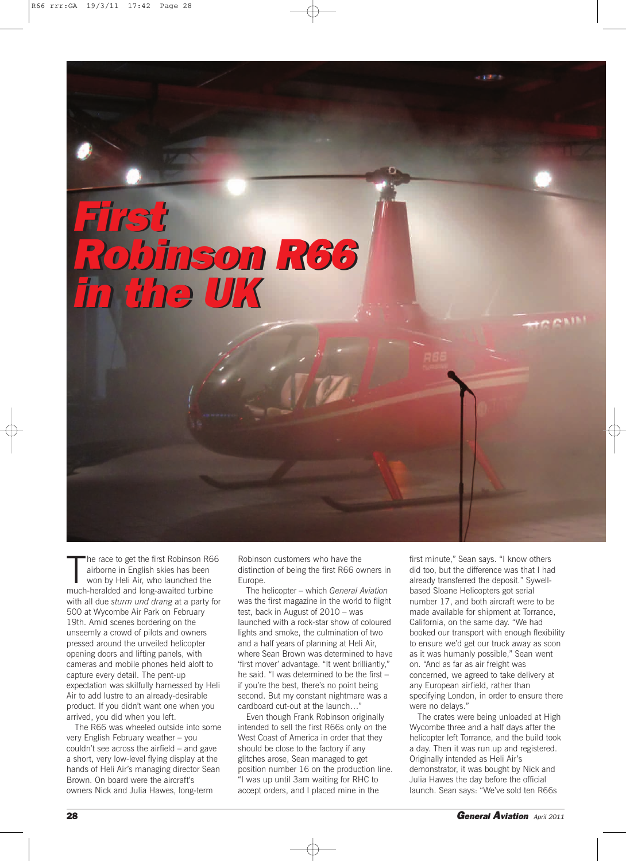*First Robinson R66 Robinson R66 in the UK in the UK First*

The race to get the first Robinson Re<br>
airborne in English skies has been<br>
won by Heli Air, who launched the<br>
much-heralded and long-awaited turbine he race to get the first Robinson R66 airborne in English skies has been won by Heli Air, who launched the with all due *sturm und drang* at a party for 500 at Wycombe Air Park on February 19th. Amid scenes bordering on the unseemly a crowd of pilots and owners pressed around the unveiled helicopter opening doors and lifting panels, with cameras and mobile phones held aloft to capture every detail. The pent-up expectation was skilfully harnessed by Heli Air to add lustre to an already-desirable product. If you didn't want one when you arrived, you did when you left.

The R66 was wheeled outside into some very English February weather – you couldn't see across the airfield – and gave a short, very low-level flying display at the hands of Heli Air's managing director Sean Brown. On board were the aircraft's owners Nick and Julia Hawes, long-term

Robinson customers who have the distinction of being the first R66 owners in Europe.

The helicopter – which *General Aviation* was the first magazine in the world to flight test, back in August of 2010 – was launched with a rock-star show of coloured lights and smoke, the culmination of two and a half years of planning at Heli Air, where Sean Brown was determined to have 'first mover' advantage. "It went brilliantly," he said. "I was determined to be the first – if you're the best, there's no point being second. But my constant nightmare was a cardboard cut-out at the launch…"

Even though Frank Robinson originally intended to sell the first R66s only on the West Coast of America in order that they should be close to the factory if any glitches arose, Sean managed to get position number 16 on the production line. "I was up until 3am waiting for RHC to accept orders, and I placed mine in the

first minute," Sean says. "I know others did too, but the difference was that I had already transferred the deposit." Sywellbased Sloane Helicopters got serial number 17, and both aircraft were to be made available for shipment at Torrance, California, on the same day. "We had booked our transport with enough flexibility to ensure we'd get our truck away as soon as it was humanly possible," Sean went on. "And as far as air freight was concerned, we agreed to take delivery at any European airfield, rather than specifying London, in order to ensure there were no delays."

The crates were being unloaded at High Wycombe three and a half days after the helicopter left Torrance, and the build took a day. Then it was run up and registered. Originally intended as Heli Air's demonstrator, it was bought by Nick and Julia Hawes the day before the official launch. Sean says: "We've sold ten R66s